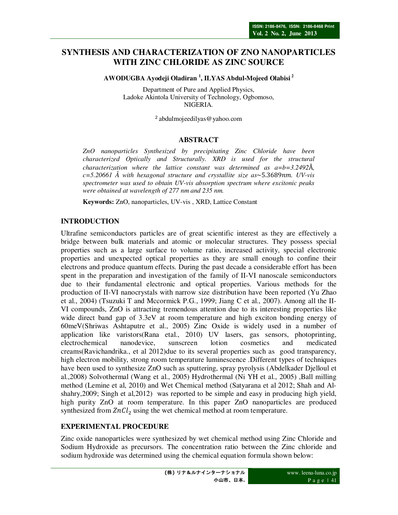## **SYNTHESIS AND CHARACTERIZATION OF ZNO NANOPARTICLES WITH ZINC CHLORIDE AS ZINC SOURCE**

**AWODUGBA Ayodeji Oladiran <sup>1</sup> , ILYAS Abdul-Mojeed Olabisi<sup>2</sup>**

Department of Pure and Applied Physics, Ladoke Akintola University of Technology, Ogbomoso, NIGERIA.

<sup>2</sup>abdulmojeedilyas@yahoo.com

#### **ABSTRACT**

*ZnO nanoparticles Synthesized by precipitating Zinc Chloride have been characterized Optically and Structurally. XRD is used for the structural characterization where the lattice constant was determined as a=b=3.2492*Å*, c*=5.20661 Å with hexagonal structure and crystallite size as~5.3689nm. UV-vis *spectrometer was used to obtain UV-vis absorption spectrum where excitonic peaks were obtained at wavelength of 277 nm and 235 nm.* 

**Keywords:** ZnO, nanoparticles, UV-vis , XRD, Lattice Constant

#### **INTRODUCTION**

Ultrafine semiconductors particles are of great scientific interest as they are effectively a bridge between bulk materials and atomic or molecular structures. They possess special properties such as a large surface to volume ratio, increased activity, special electronic properties and unexpected optical properties as they are small enough to confine their electrons and produce quantum effects. During the past decade a considerable effort has been spent in the preparation and investigation of the family of II-VI nanoscale semiconductors due to their fundamental electronic and optical properties. Various methods for the production of II-VI nanocrystals with narrow size distribution have been reported (Yu Zhao et al., 2004) (Tsuzuki T and Mccormick P.G., 1999; Jiang C et al., 2007). Among all the II-VI compounds, ZnO is attracting tremendous attention due to its interesting properties like wide direct band gap of 3.3eV at room temperature and high exciton bonding energy of 60meV(Shriwas Ashtaputre et al., 2005) Zinc Oxide is widely used in a number of application like varistors(Rana etal., 2010) UV lasers, gas sensors, photoprinting, electrochemical nanodevice, sunscreen lotion cosmetics and medicated creams(Ravichandrika., et al 2012)due to its several properties such as good transparency, high electron mobility, strong room temperature luminescence .Different types of techniques have been used to synthesize ZnO such as sputtering, spray pyrolysis (Abdelkader Djelloul et al.,2008) Solvothermal (Wang et al., 2005) Hydrothermal (Ni YH et al., 2005) ,Ball milling method (Lemine et al, 2010) and Wet Chemical method (Satyarana et al 2012; Shah and Alshahry,2009; Singh et al,2012) was reported to be simple and easy in producing high yield, high purity ZnO at room temperature. In this paper ZnO nanoparticles are produced synthesized from  $ZnCl_2$  using the wet chemical method at room temperature.

#### **EXPERIMENTAL PROCEDURE**

Zinc oxide nanoparticles were synthesized by wet chemical method using Zinc Chloride and Sodium Hydroxide as precursors. The concentration ratio between the Zinc chloride and sodium hydroxide was determined using the chemical equation formula shown below: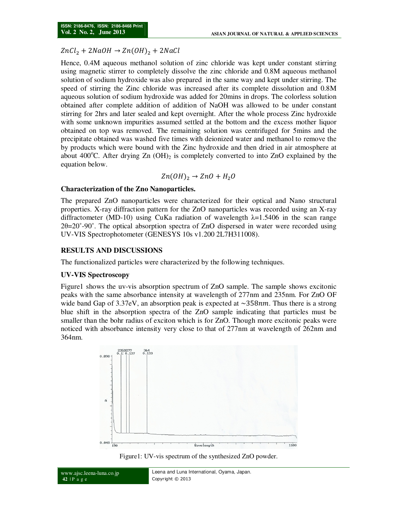# $ZnCl_2 + 2NaOH \rightarrow Zn(OH)_2 + 2NaCl$

Hence, 0.4M aqueous methanol solution of zinc chloride was kept under constant stirring using magnetic stirrer to completely dissolve the zinc chloride and 0.8M aqueous methanol solution of sodium hydroxide was also prepared in the same way and kept under stirring. The speed of stirring the Zinc chloride was increased after its complete dissolution and 0.8M aqueous solution of sodium hydroxide was added for 20mins in drops. The colorless solution obtained after complete addition of addition of NaOH was allowed to be under constant stirring for 2hrs and later sealed and kept overnight. After the whole process Zinc hydroxide with some unknown impurities assumed settled at the bottom and the excess mother liquor obtained on top was removed. The remaining solution was centrifuged for 5mins and the precipitate obtained was washed five times with deionized water and methanol to remove the by products which were bound with the Zinc hydroxide and then dried in air atmosphere at about 400 $^{\circ}$ C. After drying Zn (OH)<sub>2</sub> is completely converted to into ZnO explained by the equation below.

$$
Zn(OH)_2 \to ZnO + H_2O
$$

#### **Characterization of the Zno Nanoparticles.**

The prepared ZnO nanoparticles were characterized for their optical and Nano structural properties. X-ray diffraction pattern for the ZnO nanoparticles was recorded using an X-ray diffractometer (MD-10) using CuKa radiation of wavelength  $\lambda$ =1.5406 in the scan range 2θ=20˚-90˚. The optical absorption spectra of ZnO dispersed in water were recorded using UV-VIS Spectrophotometer (GENESYS 10s v1.200 2L7H311008).

#### **RESULTS AND DISCUSSIONS**

The functionalized particles were characterized by the following techniques.

### **UV-VIS Spectroscopy**

Figure1 shows the uv-vis absorption spectrum of ZnO sample. The sample shows excitonic peaks with the same absorbance intensity at wavelength of 277nm and 235nm. For ZnO OF wide band Gap of 3.37eV, an absorption peak is expected at  $\sim$ 358 $nm$ . Thus there is a strong blue shift in the absorption spectra of the ZnO sample indicating that particles must be smaller than the bohr radius of exciton which is for ZnO. Though more excitonic peaks were noticed with absorbance intensity very close to that of 277nm at wavelength of 262nm and 364nm.



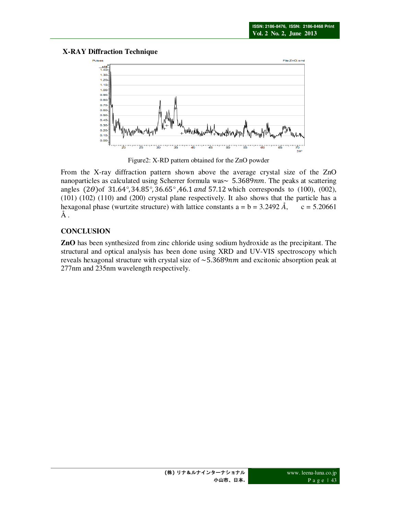### **X-RAY Diffraction Technique**



Figure2: X-RD pattern obtained for the ZnO powder

From the X-ray diffraction pattern shown above the average crystal size of the ZnO nanoparticles as calculated using Scherrer formula was $\sim 5.3689$ nm. The peaks at scattering angles (2 $\theta$ )of 31.64°, 34.85°, 36.65°, 46.1 and 57.12 which corresponds to (100), (002), (101) (102) (110) and (200) crystal plane respectively. It also shows that the particle has a hexagonal phase (wurtzite structure) with lattice constants  $a = b = 3.2492 \text{ Å}$ ,  $c = 5.20661$  $\AA$  .

### **CONCLUSION**

**ZnO** has been synthesized from zinc chloride using sodium hydroxide as the precipitant. The structural and optical analysis has been done using XRD and UV-VIS spectroscopy which reveals hexagonal structure with crystal size of  $\sim$  5.3689 $nm$  and excitonic absorption peak at 277nm and 235nm wavelength respectively.